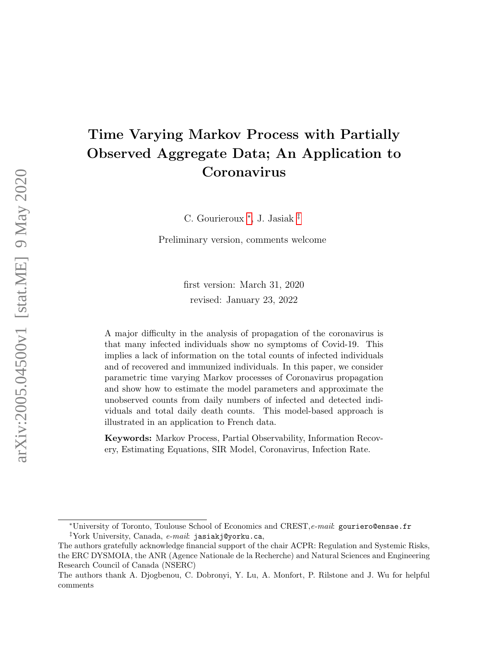# Time Varying Markov Process with Partially Observed Aggregate Data; An Application to Coronavirus

C. Gourieroux [∗](#page-0-0) , J. Jasiak [‡](#page-0-1)

Preliminary version, comments welcome

first version: March 31, 2020 revised: January 23, 2022

A major difficulty in the analysis of propagation of the coronavirus is that many infected individuals show no symptoms of Covid-19. This implies a lack of information on the total counts of infected individuals and of recovered and immunized individuals. In this paper, we consider parametric time varying Markov processes of Coronavirus propagation and show how to estimate the model parameters and approximate the unobserved counts from daily numbers of infected and detected individuals and total daily death counts. This model-based approach is illustrated in an application to French data.

Keywords: Markov Process, Partial Observability, Information Recovery, Estimating Equations, SIR Model, Coronavirus, Infection Rate.

<span id="page-0-0"></span><sup>\*</sup>University of Toronto, Toulouse School of Economics and CREST, e-mail: gouriero@ensae.fr

<span id="page-0-1"></span><sup>&</sup>lt;sup>‡</sup>York University, Canada,  $e$ -mail: jasiakj@yorku.ca,

The authors gratefully acknowledge financial support of the chair ACPR: Regulation and Systemic Risks, the ERC DYSMOIA, the ANR (Agence Nationale de la Recherche) and Natural Sciences and Engineering Research Council of Canada (NSERC)

The authors thank A. Djogbenou, C. Dobronyi, Y. Lu, A. Monfort, P. Rilstone and J. Wu for helpful comments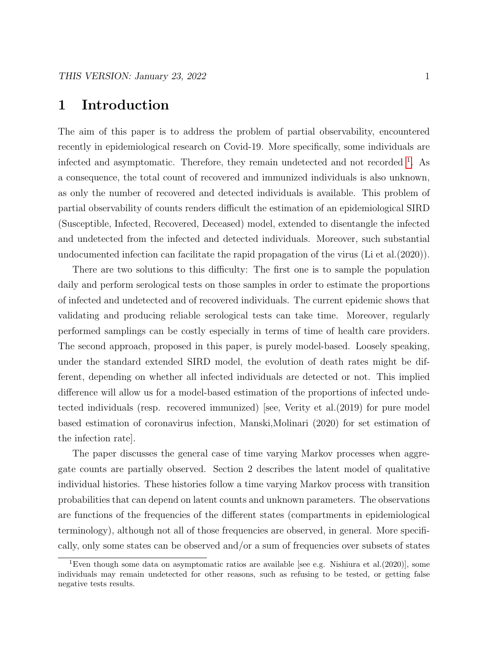# 1 Introduction

The aim of this paper is to address the problem of partial observability, encountered recently in epidemiological research on Covid-19. More specifically, some individuals are infected and asymptomatic. Therefore, they remain undetected and not recorded <sup>[1](#page-1-0)</sup>. As a consequence, the total count of recovered and immunized individuals is also unknown, as only the number of recovered and detected individuals is available. This problem of partial observability of counts renders difficult the estimation of an epidemiological SIRD (Susceptible, Infected, Recovered, Deceased) model, extended to disentangle the infected and undetected from the infected and detected individuals. Moreover, such substantial undocumented infection can facilitate the rapid propagation of the virus (Li et al.(2020)).

There are two solutions to this difficulty: The first one is to sample the population daily and perform serological tests on those samples in order to estimate the proportions of infected and undetected and of recovered individuals. The current epidemic shows that validating and producing reliable serological tests can take time. Moreover, regularly performed samplings can be costly especially in terms of time of health care providers. The second approach, proposed in this paper, is purely model-based. Loosely speaking, under the standard extended SIRD model, the evolution of death rates might be different, depending on whether all infected individuals are detected or not. This implied difference will allow us for a model-based estimation of the proportions of infected undetected individuals (resp. recovered immunized) [see, Verity et al.(2019) for pure model based estimation of coronavirus infection, Manski,Molinari (2020) for set estimation of the infection rate].

The paper discusses the general case of time varying Markov processes when aggregate counts are partially observed. Section 2 describes the latent model of qualitative individual histories. These histories follow a time varying Markov process with transition probabilities that can depend on latent counts and unknown parameters. The observations are functions of the frequencies of the different states (compartments in epidemiological terminology), although not all of those frequencies are observed, in general. More specifically, only some states can be observed and/or a sum of frequencies over subsets of states

<span id="page-1-0"></span><sup>&</sup>lt;sup>1</sup>Even though some data on asymptomatic ratios are available [see e.g. Nishiura et al. $(2020)$ ], some individuals may remain undetected for other reasons, such as refusing to be tested, or getting false negative tests results.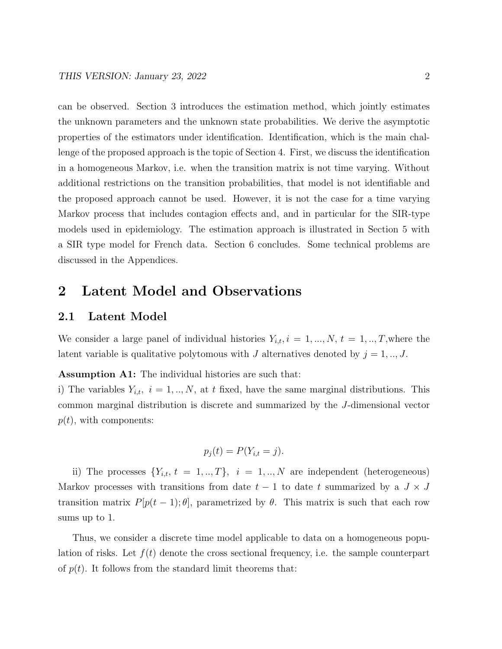can be observed. Section 3 introduces the estimation method, which jointly estimates the unknown parameters and the unknown state probabilities. We derive the asymptotic properties of the estimators under identification. Identification, which is the main challenge of the proposed approach is the topic of Section 4. First, we discuss the identification in a homogeneous Markov, i.e. when the transition matrix is not time varying. Without additional restrictions on the transition probabilities, that model is not identifiable and the proposed approach cannot be used. However, it is not the case for a time varying Markov process that includes contagion effects and, and in particular for the SIR-type models used in epidemiology. The estimation approach is illustrated in Section 5 with a SIR type model for French data. Section 6 concludes. Some technical problems are discussed in the Appendices.

# 2 Latent Model and Observations

#### 2.1 Latent Model

We consider a large panel of individual histories  $Y_{i,t}$ ,  $i = 1, ..., N$ ,  $t = 1, ..., T$ , where the latent variable is qualitative polytomous with J alternatives denoted by  $j = 1, ..., J$ .

Assumption A1: The individual histories are such that:

i) The variables  $Y_{i,t}$ ,  $i = 1, ..., N$ , at t fixed, have the same marginal distributions. This common marginal distribution is discrete and summarized by the J-dimensional vector  $p(t)$ , with components:

$$
p_j(t) = P(Y_{i,t} = j).
$$

ii) The processes  $\{Y_{i,t}, t = 1, ..., T\}, i = 1, ..., N$  are independent (heterogeneous) Markov processes with transitions from date  $t - 1$  to date t summarized by a  $J \times J$ transition matrix  $P[p(t-1);\theta]$ , parametrized by  $\theta$ . This matrix is such that each row sums up to 1.

Thus, we consider a discrete time model applicable to data on a homogeneous population of risks. Let  $f(t)$  denote the cross sectional frequency, i.e. the sample counterpart of  $p(t)$ . It follows from the standard limit theorems that: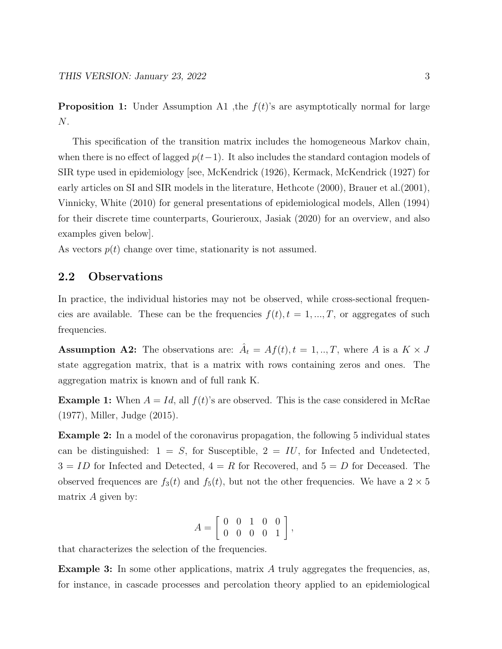**Proposition 1:** Under Assumption A1 , the  $f(t)$ 's are asymptotically normal for large N.

This specification of the transition matrix includes the homogeneous Markov chain, when there is no effect of lagged  $p(t-1)$ . It also includes the standard contagion models of SIR type used in epidemiology [see, McKendrick (1926), Kermack, McKendrick (1927) for early articles on SI and SIR models in the literature, Hethcote (2000), Brauer et al.(2001), Vinnicky, White (2010) for general presentations of epidemiological models, Allen (1994) for their discrete time counterparts, Gourieroux, Jasiak (2020) for an overview, and also examples given below].

As vectors  $p(t)$  change over time, stationarity is not assumed.

### 2.2 Observations

In practice, the individual histories may not be observed, while cross-sectional frequencies are available. These can be the frequencies  $f(t)$ ,  $t = 1, ..., T$ , or aggregates of such frequencies.

**Assumption A2:** The observations are:  $\hat{A}_t = Af(t), t = 1, ..., T$ , where A is a  $K \times J$ state aggregation matrix, that is a matrix with rows containing zeros and ones. The aggregation matrix is known and of full rank K.

**Example 1:** When  $A = Id$ , all  $f(t)$ 's are observed. This is the case considered in McRae (1977), Miller, Judge (2015).

Example 2: In a model of the coronavirus propagation, the following 5 individual states can be distinguished:  $1 = S$ , for Susceptible,  $2 = IU$ , for Infected and Undetected,  $3 = ID$  for Infected and Detected,  $4 = R$  for Recovered, and  $5 = D$  for Deceased. The observed frequences are  $f_3(t)$  and  $f_5(t)$ , but not the other frequencies. We have a  $2 \times 5$ matrix  $A$  given by:

$$
A = \left[ \begin{array}{cccc} 0 & 0 & 1 & 0 & 0 \\ 0 & 0 & 0 & 0 & 1 \end{array} \right],
$$

that characterizes the selection of the frequencies.

**Example 3:** In some other applications, matrix  $A$  truly aggregates the frequencies, as, for instance, in cascade processes and percolation theory applied to an epidemiological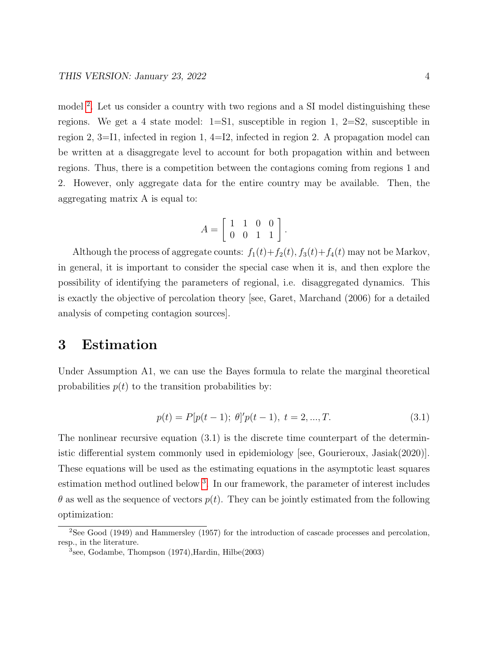model<sup>[2](#page-4-0)</sup>. Let us consider a country with two regions and a SI model distinguishing these regions. We get a 4 state model:  $1=S1$ , susceptible in region 1,  $2=S2$ , susceptible in region 2, 3=I1, infected in region 1, 4=I2, infected in region 2. A propagation model can be written at a disaggregate level to account for both propagation within and between regions. Thus, there is a competition between the contagions coming from regions 1 and 2. However, only aggregate data for the entire country may be available. Then, the aggregating matrix A is equal to:

$$
A = \left[ \begin{array}{rrr} 1 & 1 & 0 & 0 \\ 0 & 0 & 1 & 1 \end{array} \right].
$$

Although the process of aggregate counts:  $f_1(t)+f_2(t)$ ,  $f_3(t)+f_4(t)$  may not be Markov, in general, it is important to consider the special case when it is, and then explore the possibility of identifying the parameters of regional, i.e. disaggregated dynamics. This is exactly the objective of percolation theory [see, Garet, Marchand (2006) for a detailed analysis of competing contagion sources].

# 3 Estimation

Under Assumption A1, we can use the Bayes formula to relate the marginal theoretical probabilities  $p(t)$  to the transition probabilities by:

$$
p(t) = P[p(t-1); \theta]'p(t-1), \ t = 2, ..., T.
$$
\n(3.1)

The nonlinear recursive equation (3.1) is the discrete time counterpart of the deterministic differential system commonly used in epidemiology [see, Gourieroux, Jasiak(2020)]. These equations will be used as the estimating equations in the asymptotic least squares estimation method outlined below<sup>[3](#page-4-1)</sup>. In our framework, the parameter of interest includes  $\theta$  as well as the sequence of vectors  $p(t)$ . They can be jointly estimated from the following optimization:

<span id="page-4-0"></span> ${}^{2}$ See Good (1949) and Hammersley (1957) for the introduction of cascade processes and percolation, resp., in the literature.

<span id="page-4-1"></span><sup>3</sup> see, Godambe, Thompson (1974),Hardin, Hilbe(2003)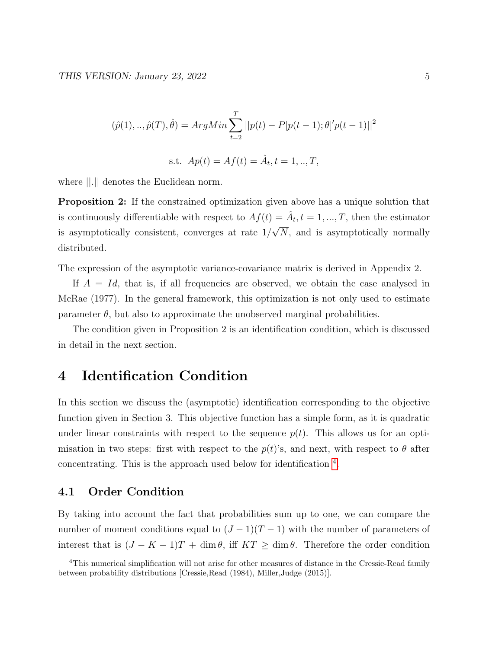$$
(\hat{p}(1),..,\hat{p}(T),\hat{\theta}) = ArgMin \sum_{t=2}^{T} ||p(t) - P[p(t-1); \theta]'p(t-1)||^2
$$
  
s.t.  $Ap(t) = Af(t) = \hat{A}_t, t = 1,..,T,$ 

where ||.|| denotes the Euclidean norm.

Proposition 2: If the constrained optimization given above has a unique solution that is continuously differentiable with respect to  $Af(t) = \hat{A}_t, t = 1, ..., T$ , then the estimator is asymptotically consistent, converges at rate 1/ √ N, and is asymptotically normally distributed.

The expression of the asymptotic variance-covariance matrix is derived in Appendix 2.

If  $A = Id$ , that is, if all frequencies are observed, we obtain the case analysed in McRae (1977). In the general framework, this optimization is not only used to estimate parameter  $\theta$ , but also to approximate the unobserved marginal probabilities.

The condition given in Proposition 2 is an identification condition, which is discussed in detail in the next section.

# 4 Identification Condition

In this section we discuss the (asymptotic) identification corresponding to the objective function given in Section 3. This objective function has a simple form, as it is quadratic under linear constraints with respect to the sequence  $p(t)$ . This allows us for an optimisation in two steps: first with respect to the  $p(t)$ 's, and next, with respect to  $\theta$  after concentrating. This is the approach used below for identification [4](#page-5-0) .

### 4.1 Order Condition

By taking into account the fact that probabilities sum up to one, we can compare the number of moment conditions equal to  $(J-1)(T-1)$  with the number of parameters of interest that is  $(J - K - 1)T + \dim \theta$ , iff  $KT \geq \dim \theta$ . Therefore the order condition

<span id="page-5-0"></span><sup>&</sup>lt;sup>4</sup>This numerical simplification will not arise for other measures of distance in the Cressie-Read family between probability distributions [Cressie,Read (1984), Miller,Judge (2015)].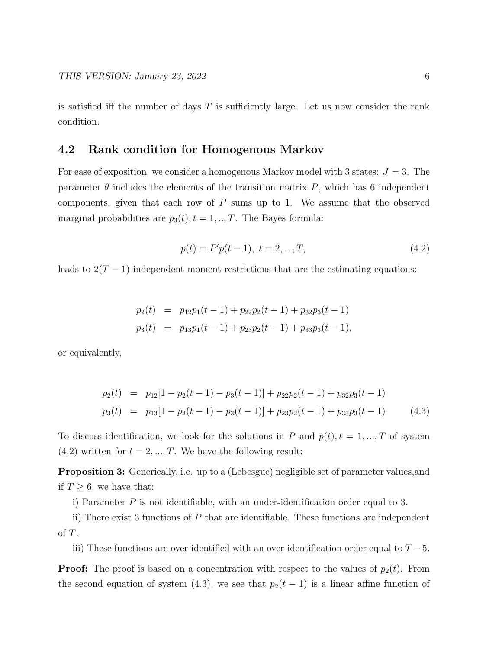is satisfied iff the number of days  $T$  is sufficiently large. Let us now consider the rank condition.

### 4.2 Rank condition for Homogenous Markov

For ease of exposition, we consider a homogenous Markov model with 3 states:  $J = 3$ . The parameter  $\theta$  includes the elements of the transition matrix P, which has 6 independent components, given that each row of  $P$  sums up to 1. We assume that the observed marginal probabilities are  $p_3(t)$ ,  $t = 1, ..., T$ . The Bayes formula:

$$
p(t) = P'p(t-1), \ t = 2, ..., T,
$$
\n(4.2)

leads to  $2(T-1)$  independent moment restrictions that are the estimating equations:

$$
p_2(t) = p_{12}p_1(t-1) + p_{22}p_2(t-1) + p_{32}p_3(t-1)
$$
  
\n
$$
p_3(t) = p_{13}p_1(t-1) + p_{23}p_2(t-1) + p_{33}p_3(t-1),
$$

or equivalently,

$$
p_2(t) = p_{12}[1 - p_2(t-1) - p_3(t-1)] + p_{22}p_2(t-1) + p_{32}p_3(t-1)
$$
  
\n
$$
p_3(t) = p_{13}[1 - p_2(t-1) - p_3(t-1)] + p_{23}p_2(t-1) + p_{33}p_3(t-1)
$$
\n(4.3)

To discuss identification, we look for the solutions in P and  $p(t)$ ,  $t = 1, ..., T$  of system  $(4.2)$  written for  $t = 2, ..., T$ . We have the following result:

Proposition 3: Generically, i.e. up to a (Lebesgue) negligible set of parameter values,and if  $T \geq 6$ , we have that:

i) Parameter  $P$  is not identifiable, with an under-identification order equal to 3.

ii) There exist 3 functions of P that are identifiable. These functions are independent of T.

iii) These functions are over-identified with an over-identification order equal to  $T-5$ .

**Proof:** The proof is based on a concentration with respect to the values of  $p_2(t)$ . From the second equation of system (4.3), we see that  $p_2(t-1)$  is a linear affine function of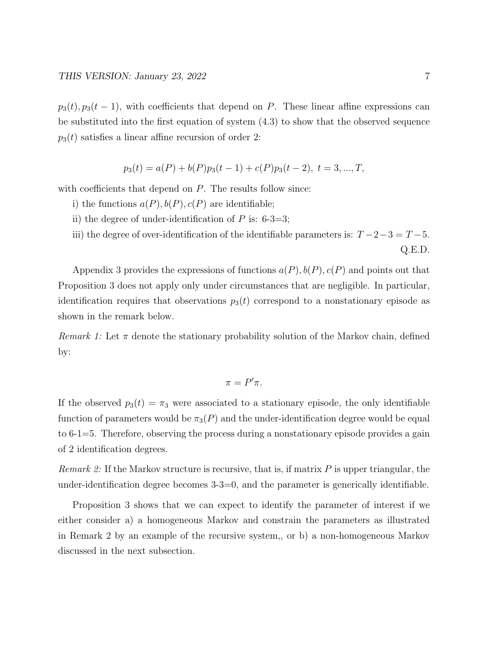$p_3(t), p_3(t-1)$ , with coefficients that depend on P. These linear affine expressions can be substituted into the first equation of system (4.3) to show that the observed sequence  $p_3(t)$  satisfies a linear affine recursion of order 2:

$$
p_3(t) = a(P) + b(P)p_3(t-1) + c(P)p_3(t-2), t = 3, ..., T,
$$

with coefficients that depend on  $P$ . The results follow since:

- i) the functions  $a(P), b(P), c(P)$  are identifiable;
- ii) the degree of under-identification of  $P$  is: 6-3=3;
- iii) the degree of over-identification of the identifiable parameters is:  $T-2-3=T-5$ . Q.E.D.

Appendix 3 provides the expressions of functions  $a(P), b(P), c(P)$  and points out that Proposition 3 does not apply only under circumstances that are negligible. In particular, identification requires that observations  $p_3(t)$  correspond to a nonstationary episode as shown in the remark below.

Remark 1: Let  $\pi$  denote the stationary probability solution of the Markov chain, defined by:

$$
\pi = P'\pi.
$$

If the observed  $p_3(t) = \pi_3$  were associated to a stationary episode, the only identifiable function of parameters would be  $\pi_3(P)$  and the under-identification degree would be equal to 6-1=5. Therefore, observing the process during a nonstationary episode provides a gain of 2 identification degrees.

*Remark 2:* If the Markov structure is recursive, that is, if matrix  $P$  is upper triangular, the under-identification degree becomes 3-3=0, and the parameter is generically identifiable.

Proposition 3 shows that we can expect to identify the parameter of interest if we either consider a) a homogeneous Markov and constrain the parameters as illustrated in Remark 2 by an example of the recursive system,, or b) a non-homogeneous Markov discussed in the next subsection.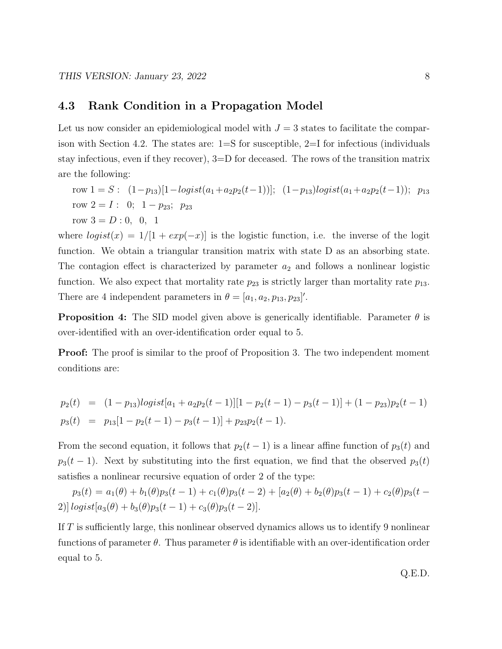### 4.3 Rank Condition in a Propagation Model

Let us now consider an epidemiological model with  $J = 3$  states to facilitate the comparison with Section 4.2. The states are: 1=S for susceptible, 2=I for infectious (individuals stay infectious, even if they recover), 3=D for deceased. The rows of the transition matrix are the following:

row  $1 = S$ :  $(1-p_{13})[1-logist(a_1+a_2p_2(t-1))]$ ;  $(1-p_{13})logist(a_1+a_2p_2(t-1))$ ;  $p_{13}$ row  $2 = I: 0; 1 - p_{23}; p_{23}$ row  $3 = D : 0, 0, 1$ 

where  $logist(x) = 1/[1 + exp(-x)]$  is the logistic function, i.e. the inverse of the logit function. We obtain a triangular transition matrix with state D as an absorbing state. The contagion effect is characterized by parameter  $a_2$  and follows a nonlinear logistic function. We also expect that mortality rate  $p_{23}$  is strictly larger than mortality rate  $p_{13}$ . There are 4 independent parameters in  $\theta = [a_1, a_2, p_{13}, p_{23}]'.$ 

**Proposition 4:** The SID model given above is generically identifiable. Parameter  $\theta$  is over-identified with an over-identification order equal to 5.

**Proof:** The proof is similar to the proof of Proposition 3. The two independent moment conditions are:

$$
p_2(t) = (1 - p_{13})logist[a_1 + a_2p_2(t-1)][1 - p_2(t-1) - p_3(t-1)] + (1 - p_{23})p_2(t-1)
$$
  
\n
$$
p_3(t) = p_{13}[1 - p_2(t-1) - p_3(t-1)] + p_{23}p_2(t-1).
$$

From the second equation, it follows that  $p_2(t-1)$  is a linear affine function of  $p_3(t)$  and  $p_3(t-1)$ . Next by substituting into the first equation, we find that the observed  $p_3(t)$ satisfies a nonlinear recursive equation of order 2 of the type:

 $p_3(t) = a_1(\theta) + b_1(\theta)p_3(t-1) + c_1(\theta)p_3(t-2) + [a_2(\theta) + b_2(\theta)p_3(t-1) + c_2(\theta)p_3(t-1)]$ 2)]  $logist[a_3(\theta) + b_3(\theta)p_3(t-1) + c_3(\theta)p_3(t-2)].$ 

If T is sufficiently large, this nonlinear observed dynamics allows us to identify 9 nonlinear functions of parameter  $\theta$ . Thus parameter  $\theta$  is identifiable with an over-identification order equal to 5.

Q.E.D.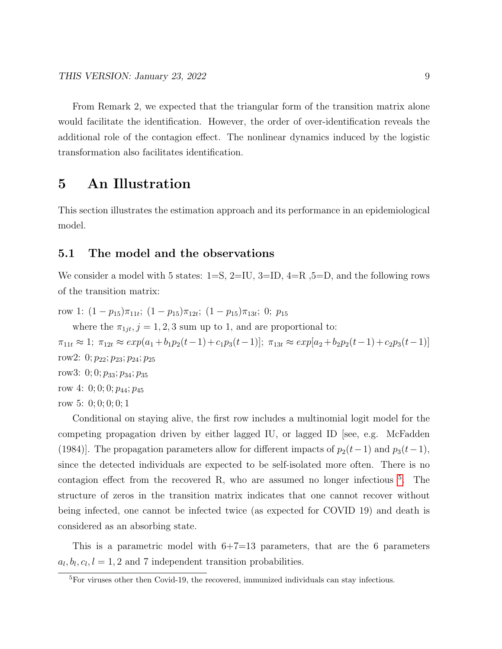From Remark 2, we expected that the triangular form of the transition matrix alone would facilitate the identification. However, the order of over-identification reveals the additional role of the contagion effect. The nonlinear dynamics induced by the logistic transformation also facilitates identification.

# 5 An Illustration

This section illustrates the estimation approach and its performance in an epidemiological model.

### 5.1 The model and the observations

We consider a model with 5 states:  $1=S$ ,  $2=IU$ ,  $3=ID$ ,  $4=R$ ,  $5=D$ , and the following rows of the transition matrix:

row 1:  $(1-p_{15})\pi_{11t}$ ;  $(1-p_{15})\pi_{12t}$ ;  $(1-p_{15})\pi_{13t}$ ; 0;  $p_{15}$ 

where the  $\pi_{1jt}$ ,  $j = 1, 2, 3$  sum up to 1, and are proportional to:

 $\pi_{11t} \approx 1; \ \pi_{12t} \approx exp(a_1+b_1p_2(t-1)+c_1p_3(t-1)); \ \pi_{13t} \approx exp[a_2+b_2p_2(t-1)+c_2p_3(t-1)]$ row2: 0;  $p_{22}$ ;  $p_{23}$ ;  $p_{24}$ ;  $p_{25}$ row3: 0; 0;  $p_{33}$ ;  $p_{34}$ ;  $p_{35}$ row 4: 0; 0; 0;  $p_{44}$ ;  $p_{45}$ 

row 5: 0; 0; 0; 0; 1

Conditional on staying alive, the first row includes a multinomial logit model for the competing propagation driven by either lagged IU, or lagged ID [see, e.g. McFadden (1984)]. The propagation parameters allow for different impacts of  $p_2(t-1)$  and  $p_3(t-1)$ , since the detected individuals are expected to be self-isolated more often. There is no contagion effect from the recovered R, who are assumed no longer infectious <sup>[5](#page-9-0)</sup>. The structure of zeros in the transition matrix indicates that one cannot recover without being infected, one cannot be infected twice (as expected for COVID 19) and death is considered as an absorbing state.

This is a parametric model with  $6+7=13$  parameters, that are the 6 parameters  $a_l, b_l, c_l, l = 1, 2$  and 7 independent transition probabilities.

<span id="page-9-0"></span><sup>&</sup>lt;sup>5</sup>For viruses other then Covid-19, the recovered, immunized individuals can stay infectious.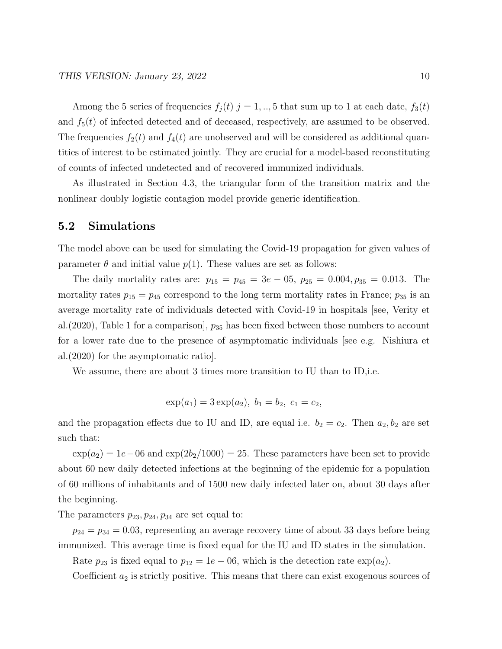Among the 5 series of frequencies  $f_j(t)$   $j = 1, ..., 5$  that sum up to 1 at each date,  $f_3(t)$ and  $f_5(t)$  of infected detected and of deceased, respectively, are assumed to be observed. The frequencies  $f_2(t)$  and  $f_4(t)$  are unobserved and will be considered as additional quantities of interest to be estimated jointly. They are crucial for a model-based reconstituting of counts of infected undetected and of recovered immunized individuals.

As illustrated in Section 4.3, the triangular form of the transition matrix and the nonlinear doubly logistic contagion model provide generic identification.

#### 5.2 Simulations

The model above can be used for simulating the Covid-19 propagation for given values of parameter  $\theta$  and initial value  $p(1)$ . These values are set as follows:

The daily mortality rates are:  $p_{15} = p_{45} = 3e - 05$ ,  $p_{25} = 0.004$ ,  $p_{35} = 0.013$ . The mortality rates  $p_{15} = p_{45}$  correspond to the long term mortality rates in France;  $p_{35}$  is an average mortality rate of individuals detected with Covid-19 in hospitals [see, Verity et al.  $(2020)$ , Table 1 for a comparison,  $p_{35}$  has been fixed between those numbers to account for a lower rate due to the presence of asymptomatic individuals [see e.g. Nishiura et al.(2020) for the asymptomatic ratio].

We assume, there are about 3 times more transition to IU than to ID,i.e.

$$
\exp(a_1) = 3 \exp(a_2), b_1 = b_2, c_1 = c_2,
$$

and the propagation effects due to IU and ID, are equal i.e.  $b_2 = c_2$ . Then  $a_2, b_2$  are set such that:

 $\exp(a_2) = 1e-06$  and  $\exp(2b_2/1000) = 25$ . These parameters have been set to provide about 60 new daily detected infections at the beginning of the epidemic for a population of 60 millions of inhabitants and of 1500 new daily infected later on, about 30 days after the beginning.

The parameters  $p_{23}, p_{24}, p_{34}$  are set equal to:

 $p_{24} = p_{34} = 0.03$ , representing an average recovery time of about 33 days before being immunized. This average time is fixed equal for the IU and ID states in the simulation.

Rate  $p_{23}$  is fixed equal to  $p_{12} = 1e - 06$ , which is the detection rate  $\exp(a_2)$ .

Coefficient  $a_2$  is strictly positive. This means that there can exist exogenous sources of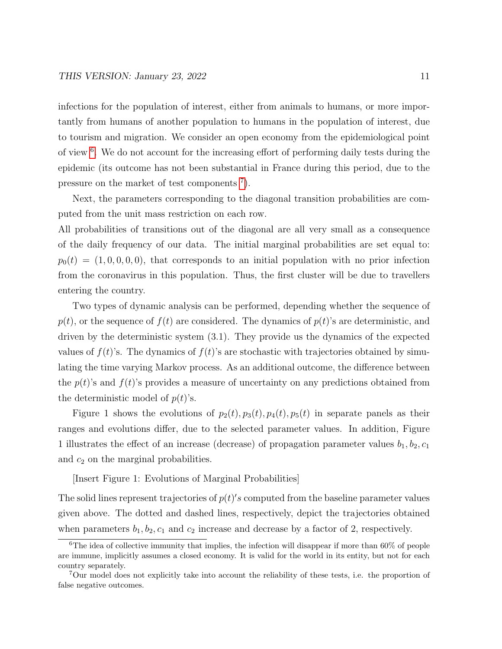infections for the population of interest, either from animals to humans, or more importantly from humans of another population to humans in the population of interest, due to tourism and migration. We consider an open economy from the epidemiological point of view <sup>[6](#page-11-0)</sup>. We do not account for the increasing effort of performing daily tests during the epidemic (its outcome has not been substantial in France during this period, due to the pressure on the market of test components  $\bar{a}$ .

Next, the parameters corresponding to the diagonal transition probabilities are computed from the unit mass restriction on each row.

All probabilities of transitions out of the diagonal are all very small as a consequence of the daily frequency of our data. The initial marginal probabilities are set equal to:  $p_0(t) = (1, 0, 0, 0, 0)$ , that corresponds to an initial population with no prior infection from the coronavirus in this population. Thus, the first cluster will be due to travellers entering the country.

Two types of dynamic analysis can be performed, depending whether the sequence of  $p(t)$ , or the sequence of  $f(t)$  are considered. The dynamics of  $p(t)$ 's are deterministic, and driven by the deterministic system (3.1). They provide us the dynamics of the expected values of  $f(t)$ 's. The dynamics of  $f(t)$ 's are stochastic with trajectories obtained by simulating the time varying Markov process. As an additional outcome, the difference between the  $p(t)$ 's and  $f(t)$ 's provides a measure of uncertainty on any predictions obtained from the deterministic model of  $p(t)$ 's.

Figure 1 shows the evolutions of  $p_2(t)$ ,  $p_3(t)$ ,  $p_4(t)$ ,  $p_5(t)$  in separate panels as their ranges and evolutions differ, due to the selected parameter values. In addition, Figure 1 illustrates the effect of an increase (decrease) of propagation parameter values  $b_1, b_2, c_1$ and  $c_2$  on the marginal probabilities.

[Insert Figure 1: Evolutions of Marginal Probabilities]

The solid lines represent trajectories of  $p(t)'s$  computed from the baseline parameter values given above. The dotted and dashed lines, respectively, depict the trajectories obtained when parameters  $b_1, b_2, c_1$  and  $c_2$  increase and decrease by a factor of 2, respectively.

<span id="page-11-0"></span> $6$ The idea of collective immunity that implies, the infection will disappear if more than 60% of people are immune, implicitly assumes a closed economy. It is valid for the world in its entity, but not for each country separately.

<span id="page-11-1"></span><sup>7</sup>Our model does not explicitly take into account the reliability of these tests, i.e. the proportion of false negative outcomes.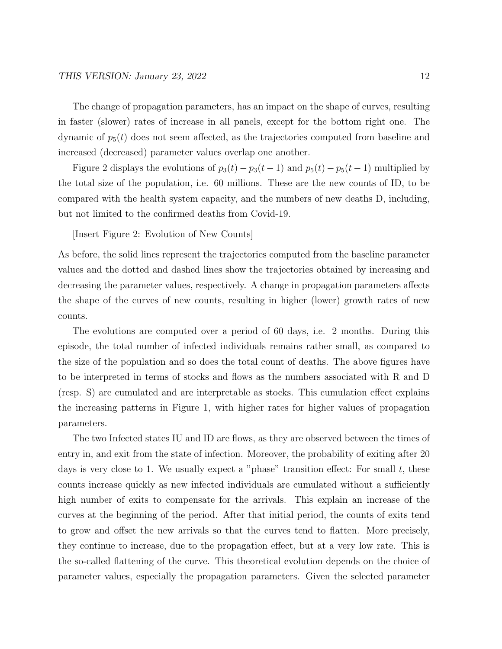The change of propagation parameters, has an impact on the shape of curves, resulting in faster (slower) rates of increase in all panels, except for the bottom right one. The dynamic of  $p_5(t)$  does not seem affected, as the trajectories computed from baseline and increased (decreased) parameter values overlap one another.

Figure 2 displays the evolutions of  $p_3(t) - p_3(t-1)$  and  $p_5(t) - p_5(t-1)$  multiplied by the total size of the population, i.e. 60 millions. These are the new counts of ID, to be compared with the health system capacity, and the numbers of new deaths D, including, but not limited to the confirmed deaths from Covid-19.

[Insert Figure 2: Evolution of New Counts]

As before, the solid lines represent the trajectories computed from the baseline parameter values and the dotted and dashed lines show the trajectories obtained by increasing and decreasing the parameter values, respectively. A change in propagation parameters affects the shape of the curves of new counts, resulting in higher (lower) growth rates of new counts.

The evolutions are computed over a period of 60 days, i.e. 2 months. During this episode, the total number of infected individuals remains rather small, as compared to the size of the population and so does the total count of deaths. The above figures have to be interpreted in terms of stocks and flows as the numbers associated with R and D (resp. S) are cumulated and are interpretable as stocks. This cumulation effect explains the increasing patterns in Figure 1, with higher rates for higher values of propagation parameters.

The two Infected states IU and ID are flows, as they are observed between the times of entry in, and exit from the state of infection. Moreover, the probability of exiting after 20 days is very close to 1. We usually expect a "phase" transition effect: For small  $t$ , these counts increase quickly as new infected individuals are cumulated without a sufficiently high number of exits to compensate for the arrivals. This explain an increase of the curves at the beginning of the period. After that initial period, the counts of exits tend to grow and offset the new arrivals so that the curves tend to flatten. More precisely, they continue to increase, due to the propagation effect, but at a very low rate. This is the so-called flattening of the curve. This theoretical evolution depends on the choice of parameter values, especially the propagation parameters. Given the selected parameter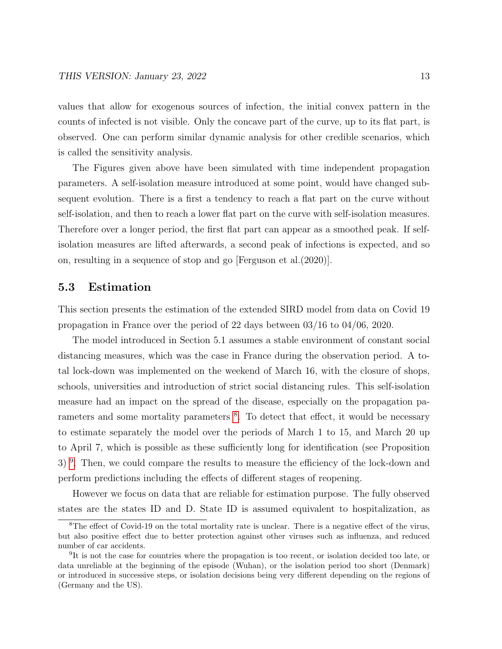values that allow for exogenous sources of infection, the initial convex pattern in the counts of infected is not visible. Only the concave part of the curve, up to its flat part, is observed. One can perform similar dynamic analysis for other credible scenarios, which is called the sensitivity analysis.

The Figures given above have been simulated with time independent propagation parameters. A self-isolation measure introduced at some point, would have changed subsequent evolution. There is a first a tendency to reach a flat part on the curve without self-isolation, and then to reach a lower flat part on the curve with self-isolation measures. Therefore over a longer period, the first flat part can appear as a smoothed peak. If selfisolation measures are lifted afterwards, a second peak of infections is expected, and so on, resulting in a sequence of stop and go [Ferguson et al.(2020)].

### 5.3 Estimation

This section presents the estimation of the extended SIRD model from data on Covid 19 propagation in France over the period of 22 days between 03/16 to 04/06, 2020.

The model introduced in Section 5.1 assumes a stable environment of constant social distancing measures, which was the case in France during the observation period. A total lock-down was implemented on the weekend of March 16, with the closure of shops, schools, universities and introduction of strict social distancing rules. This self-isolation measure had an impact on the spread of the disease, especially on the propagation pa-rameters and some mortality parameters <sup>[8](#page-13-0)</sup>. To detect that effect, it would be necessary to estimate separately the model over the periods of March 1 to 15, and March 20 up to April 7, which is possible as these sufficiently long for identification (see Proposition 3)<sup>[9](#page-13-1)</sup>. Then, we could compare the results to measure the efficiency of the lock-down and perform predictions including the effects of different stages of reopening.

However we focus on data that are reliable for estimation purpose. The fully observed states are the states ID and D. State ID is assumed equivalent to hospitalization, as

<span id="page-13-0"></span><sup>8</sup>The effect of Covid-19 on the total mortality rate is unclear. There is a negative effect of the virus, but also positive effect due to better protection against other viruses such as influenza, and reduced number of car accidents.

<span id="page-13-1"></span><sup>&</sup>lt;sup>9</sup>It is not the case for countries where the propagation is too recent, or isolation decided too late, or data unreliable at the beginning of the episode (Wuhan), or the isolation period too short (Denmark) or introduced in successive steps, or isolation decisions being very different depending on the regions of (Germany and the US).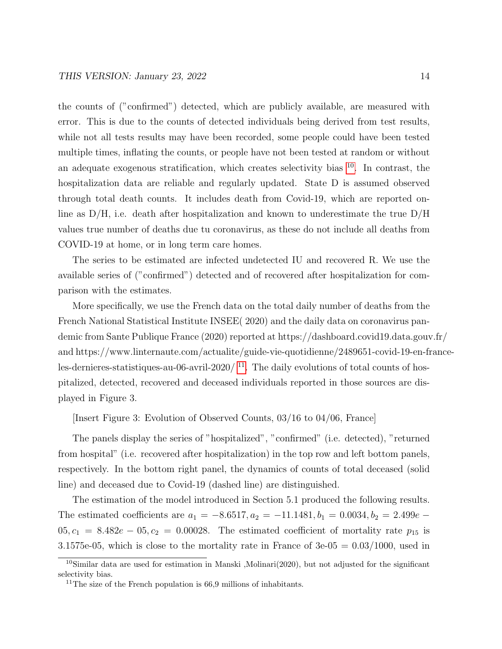the counts of ("confirmed") detected, which are publicly available, are measured with error. This is due to the counts of detected individuals being derived from test results, while not all tests results may have been recorded, some people could have been tested multiple times, inflating the counts, or people have not been tested at random or without an adequate exogenous stratification, which creates selectivity bias  $10$ . In contrast, the hospitalization data are reliable and regularly updated. State D is assumed observed through total death counts. It includes death from Covid-19, which are reported online as D/H, i.e. death after hospitalization and known to underestimate the true D/H values true number of deaths due tu coronavirus, as these do not include all deaths from COVID-19 at home, or in long term care homes.

The series to be estimated are infected undetected IU and recovered R. We use the available series of ("confirmed") detected and of recovered after hospitalization for comparison with the estimates.

More specifically, we use the French data on the total daily number of deaths from the French National Statistical Institute INSEE( 2020) and the daily data on coronavirus pandemic from Sante Publique France (2020) reported at https://dashboard.covid19.data.gouv.fr/ and https://www.linternaute.com/actualite/guide-vie-quotidienne/2489651-covid-19-en-franceles-dernieres-statistiques-au-06-avril-2020/ $^{11}$  $^{11}$  $^{11}$ . The daily evolutions of total counts of hospitalized, detected, recovered and deceased individuals reported in those sources are displayed in Figure 3.

[Insert Figure 3: Evolution of Observed Counts, 03/16 to 04/06, France]

The panels display the series of "hospitalized", "confirmed" (i.e. detected), "returned from hospital" (i.e. recovered after hospitalization) in the top row and left bottom panels, respectively. In the bottom right panel, the dynamics of counts of total deceased (solid line) and deceased due to Covid-19 (dashed line) are distinguished.

The estimation of the model introduced in Section 5.1 produced the following results. The estimated coefficients are  $a_1 = -8.6517, a_2 = -11.1481, b_1 = 0.0034, b_2 = 2.499e$  $05, c_1 = 8.482e - 05, c_2 = 0.00028$ . The estimated coefficient of mortality rate  $p_{15}$  is 3.1575e-05, which is close to the mortality rate in France of  $3e-05 = 0.03/1000$ , used in

<span id="page-14-0"></span><sup>10</sup>Similar data are used for estimation in Manski ,Molinari(2020), but not adjusted for the significant selectivity bias.

<span id="page-14-1"></span><sup>&</sup>lt;sup>11</sup>The size of the French population is  $66.9$  millions of inhabitants.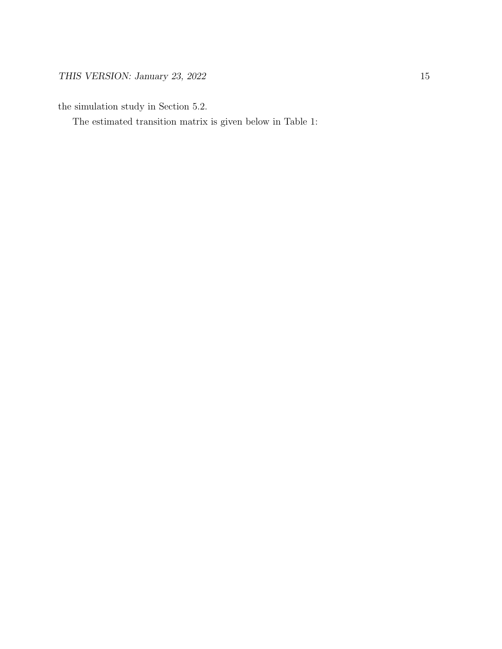the simulation study in Section 5.2.

The estimated transition matrix is given below in Table 1: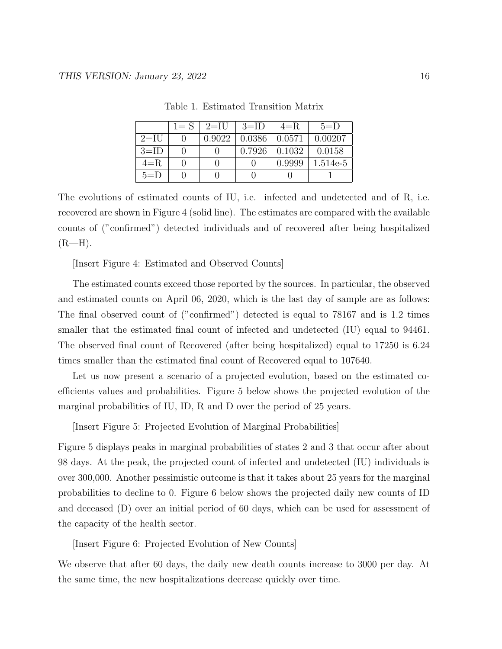|         | $1 = S \perp$ | $2=$ IU | $3=1D$ | $4=R$  | $5=$ D   |
|---------|---------------|---------|--------|--------|----------|
| $2=$ IU |               | 0.9022  | 0.0386 | 0.0571 | 0.00207  |
| $3=ID$  |               |         | 0.7926 | 0.1032 | 0.0158   |
| $4 = R$ |               |         |        | 0.9999 | 1.514e-5 |
| $5=$ D  |               |         |        |        |          |

Table 1. Estimated Transition Matrix

The evolutions of estimated counts of IU, i.e. infected and undetected and of R, i.e. recovered are shown in Figure 4 (solid line). The estimates are compared with the available counts of ("confirmed") detected individuals and of recovered after being hospitalized  $(R-H)$ .

[Insert Figure 4: Estimated and Observed Counts]

The estimated counts exceed those reported by the sources. In particular, the observed and estimated counts on April 06, 2020, which is the last day of sample are as follows: The final observed count of ("confirmed") detected is equal to 78167 and is 1.2 times smaller that the estimated final count of infected and undetected (IU) equal to 94461. The observed final count of Recovered (after being hospitalized) equal to 17250 is 6.24 times smaller than the estimated final count of Recovered equal to 107640.

Let us now present a scenario of a projected evolution, based on the estimated coefficients values and probabilities. Figure 5 below shows the projected evolution of the marginal probabilities of IU, ID, R and D over the period of 25 years.

[Insert Figure 5: Projected Evolution of Marginal Probabilities]

Figure 5 displays peaks in marginal probabilities of states 2 and 3 that occur after about 98 days. At the peak, the projected count of infected and undetected (IU) individuals is over 300,000. Another pessimistic outcome is that it takes about 25 years for the marginal probabilities to decline to 0. Figure 6 below shows the projected daily new counts of ID and deceased (D) over an initial period of 60 days, which can be used for assessment of the capacity of the health sector.

[Insert Figure 6: Projected Evolution of New Counts]

We observe that after 60 days, the daily new death counts increase to 3000 per day. At the same time, the new hospitalizations decrease quickly over time.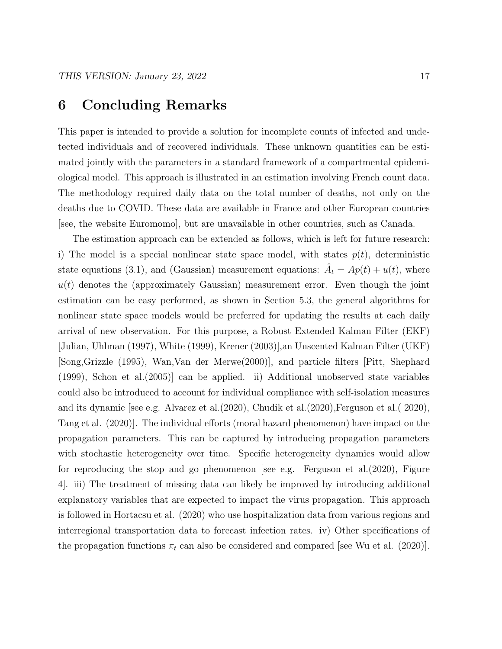# 6 Concluding Remarks

This paper is intended to provide a solution for incomplete counts of infected and undetected individuals and of recovered individuals. These unknown quantities can be estimated jointly with the parameters in a standard framework of a compartmental epidemiological model. This approach is illustrated in an estimation involving French count data. The methodology required daily data on the total number of deaths, not only on the deaths due to COVID. These data are available in France and other European countries [see, the website Euromomo], but are unavailable in other countries, such as Canada.

The estimation approach can be extended as follows, which is left for future research: i) The model is a special nonlinear state space model, with states  $p(t)$ , deterministic state equations (3.1), and (Gaussian) measurement equations:  $\hat{A}_t = Ap(t) + u(t)$ , where  $u(t)$  denotes the (approximately Gaussian) measurement error. Even though the joint estimation can be easy performed, as shown in Section 5.3, the general algorithms for nonlinear state space models would be preferred for updating the results at each daily arrival of new observation. For this purpose, a Robust Extended Kalman Filter (EKF) [Julian, Uhlman (1997), White (1999), Krener (2003)],an Unscented Kalman Filter (UKF) [Song,Grizzle (1995), Wan,Van der Merwe(2000)], and particle filters [Pitt, Shephard (1999), Schon et al.(2005)] can be applied. ii) Additional unobserved state variables could also be introduced to account for individual compliance with self-isolation measures and its dynamic [see e.g. Alvarez et al.(2020), Chudik et al.(2020),Ferguson et al.( 2020), Tang et al. (2020)]. The individual efforts (moral hazard phenomenon) have impact on the propagation parameters. This can be captured by introducing propagation parameters with stochastic heterogeneity over time. Specific heterogeneity dynamics would allow for reproducing the stop and go phenomenon [see e.g. Ferguson et al.(2020), Figure 4]. iii) The treatment of missing data can likely be improved by introducing additional explanatory variables that are expected to impact the virus propagation. This approach is followed in Hortacsu et al. (2020) who use hospitalization data from various regions and interregional transportation data to forecast infection rates. iv) Other specifications of the propagation functions  $\pi_t$  can also be considered and compared [see Wu et al. (2020)].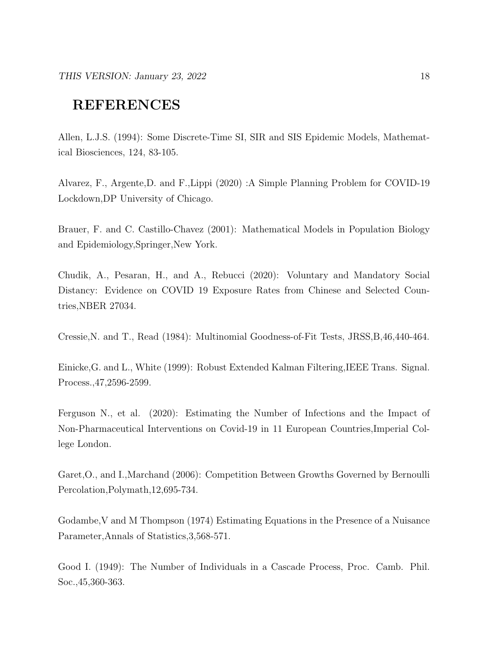# REFERENCES

Allen, L.J.S. (1994): Some Discrete-Time SI, SIR and SIS Epidemic Models, Mathematical Biosciences, 124, 83-105.

Alvarez, F., Argente,D. and F.,Lippi (2020) :A Simple Planning Problem for COVID-19 Lockdown,DP University of Chicago.

Brauer, F. and C. Castillo-Chavez (2001): Mathematical Models in Population Biology and Epidemiology,Springer,New York.

Chudik, A., Pesaran, H., and A., Rebucci (2020): Voluntary and Mandatory Social Distancy: Evidence on COVID 19 Exposure Rates from Chinese and Selected Countries,NBER 27034.

Cressie,N. and T., Read (1984): Multinomial Goodness-of-Fit Tests, JRSS,B,46,440-464.

Einicke,G. and L., White (1999): Robust Extended Kalman Filtering,IEEE Trans. Signal. Process.,47,2596-2599.

Ferguson N., et al. (2020): Estimating the Number of Infections and the Impact of Non-Pharmaceutical Interventions on Covid-19 in 11 European Countries,Imperial College London.

Garet,O., and I.,Marchand (2006): Competition Between Growths Governed by Bernoulli Percolation,Polymath,12,695-734.

Godambe,V and M Thompson (1974) Estimating Equations in the Presence of a Nuisance Parameter,Annals of Statistics,3,568-571.

Good I. (1949): The Number of Individuals in a Cascade Process, Proc. Camb. Phil. Soc.,45,360-363.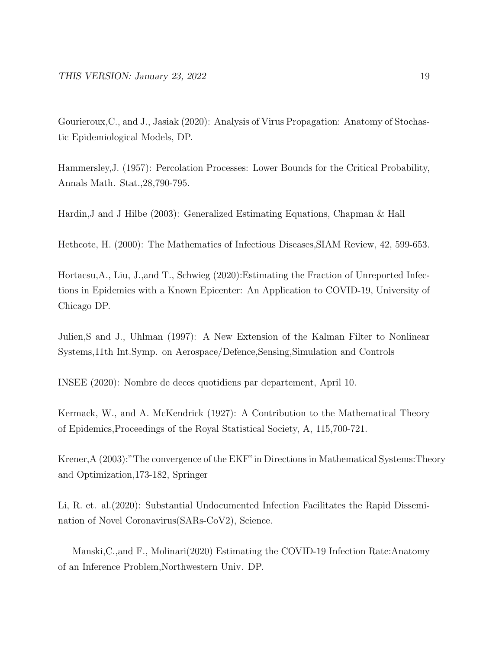Gourieroux,C., and J., Jasiak (2020): Analysis of Virus Propagation: Anatomy of Stochastic Epidemiological Models, DP.

Hammersley,J. (1957): Percolation Processes: Lower Bounds for the Critical Probability, Annals Math. Stat.,28,790-795.

Hardin,J and J Hilbe (2003): Generalized Estimating Equations, Chapman & Hall

Hethcote, H. (2000): The Mathematics of Infectious Diseases,SIAM Review, 42, 599-653.

Hortacsu,A., Liu, J.,and T., Schwieg (2020):Estimating the Fraction of Unreported Infections in Epidemics with a Known Epicenter: An Application to COVID-19, University of Chicago DP.

Julien,S and J., Uhlman (1997): A New Extension of the Kalman Filter to Nonlinear Systems,11th Int.Symp. on Aerospace/Defence,Sensing,Simulation and Controls

INSEE (2020): Nombre de deces quotidiens par departement, April 10.

Kermack, W., and A. McKendrick (1927): A Contribution to the Mathematical Theory of Epidemics,Proceedings of the Royal Statistical Society, A, 115,700-721.

Krener,A (2003):"The convergence of the EKF"in Directions in Mathematical Systems:Theory and Optimization,173-182, Springer

Li, R. et. al.(2020): Substantial Undocumented Infection Facilitates the Rapid Dissemination of Novel Coronavirus(SARs-CoV2), Science.

Manski,C.,and F., Molinari(2020) Estimating the COVID-19 Infection Rate:Anatomy of an Inference Problem,Northwestern Univ. DP.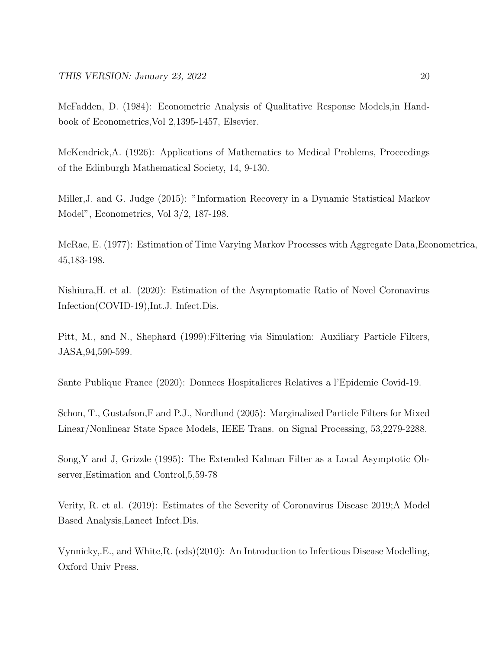McFadden, D. (1984): Econometric Analysis of Qualitative Response Models,in Handbook of Econometrics,Vol 2,1395-1457, Elsevier.

McKendrick,A. (1926): Applications of Mathematics to Medical Problems, Proceedings of the Edinburgh Mathematical Society, 14, 9-130.

Miller,J. and G. Judge (2015): "Information Recovery in a Dynamic Statistical Markov Model", Econometrics, Vol 3/2, 187-198.

McRae, E. (1977): Estimation of Time Varying Markov Processes with Aggregate Data,Econometrica, 45,183-198.

Nishiura,H. et al. (2020): Estimation of the Asymptomatic Ratio of Novel Coronavirus Infection(COVID-19),Int.J. Infect.Dis.

Pitt, M., and N., Shephard (1999):Filtering via Simulation: Auxiliary Particle Filters, JASA,94,590-599.

Sante Publique France (2020): Donnees Hospitalieres Relatives a l'Epidemie Covid-19.

Schon, T., Gustafson,F and P.J., Nordlund (2005): Marginalized Particle Filters for Mixed Linear/Nonlinear State Space Models, IEEE Trans. on Signal Processing, 53,2279-2288.

Song,Y and J, Grizzle (1995): The Extended Kalman Filter as a Local Asymptotic Observer,Estimation and Control,5,59-78

Verity, R. et al. (2019): Estimates of the Severity of Coronavirus Disease 2019;A Model Based Analysis,Lancet Infect.Dis.

Vynnicky,.E., and White,R. (eds)(2010): An Introduction to Infectious Disease Modelling, Oxford Univ Press.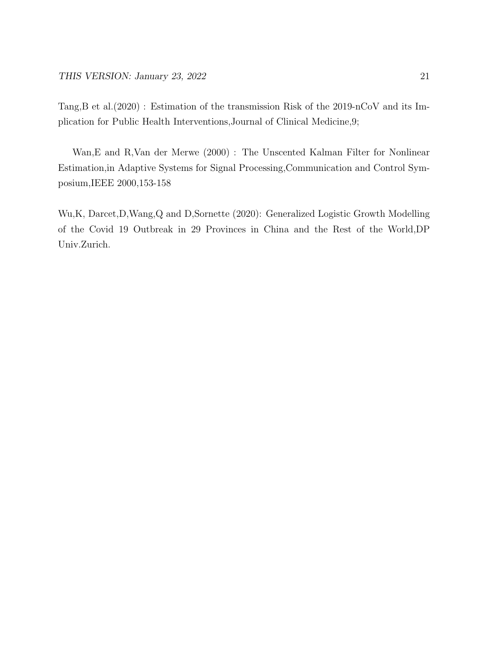Tang,B et al.(2020) : Estimation of the transmission Risk of the 2019-nCoV and its Implication for Public Health Interventions,Journal of Clinical Medicine,9;

Wan,E and R,Van der Merwe (2000) : The Unscented Kalman Filter for Nonlinear Estimation,in Adaptive Systems for Signal Processing,Communication and Control Symposium,IEEE 2000,153-158

Wu,K, Darcet,D,Wang,Q and D,Sornette (2020): Generalized Logistic Growth Modelling of the Covid 19 Outbreak in 29 Provinces in China and the Rest of the World,DP Univ.Zurich.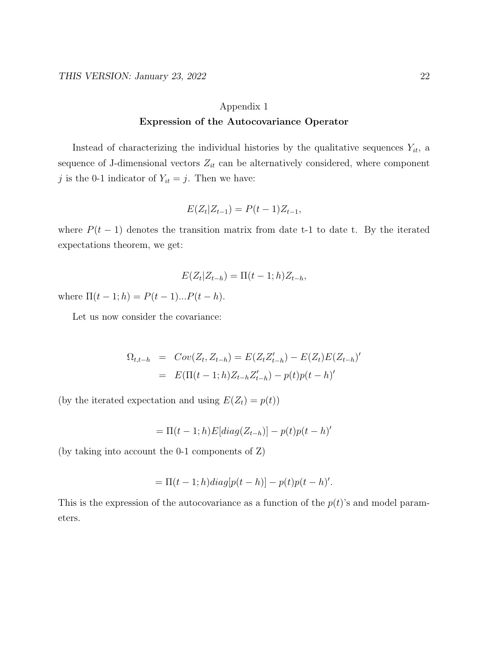## Appendix 1 Expression of the Autocovariance Operator

Instead of characterizing the individual histories by the qualitative sequences  $Y_{it}$ , a sequence of J-dimensional vectors  $Z_{it}$  can be alternatively considered, where component j is the 0-1 indicator of  $Y_{it} = j$ . Then we have:

$$
E(Z_t|Z_{t-1}) = P(t-1)Z_{t-1},
$$

where  $P(t-1)$  denotes the transition matrix from date t-1 to date t. By the iterated expectations theorem, we get:

$$
E(Z_t|Z_{t-h}) = \Pi(t-1;h)Z_{t-h},
$$

where  $\Pi(t-1;h) = P(t-1)...P(t-h)$ .

Let us now consider the covariance:

$$
\Omega_{t,t-h} = Cov(Z_t, Z_{t-h}) = E(Z_t Z'_{t-h}) - E(Z_t) E(Z_{t-h})'
$$
  
= 
$$
E(\Pi(t-1; h) Z_{t-h} Z'_{t-h}) - p(t) p(t-h)'
$$

(by the iterated expectation and using  $E(Z_t) = p(t)$ )

$$
= \Pi(t-1;h)E[diag(Z_{t-h})] - p(t)p(t-h)'
$$

(by taking into account the 0-1 components of Z)

$$
= \Pi(t-1;h)diag[p(t-h)] - p(t)p(t-h)'.
$$

This is the expression of the autocovariance as a function of the  $p(t)$ 's and model parameters.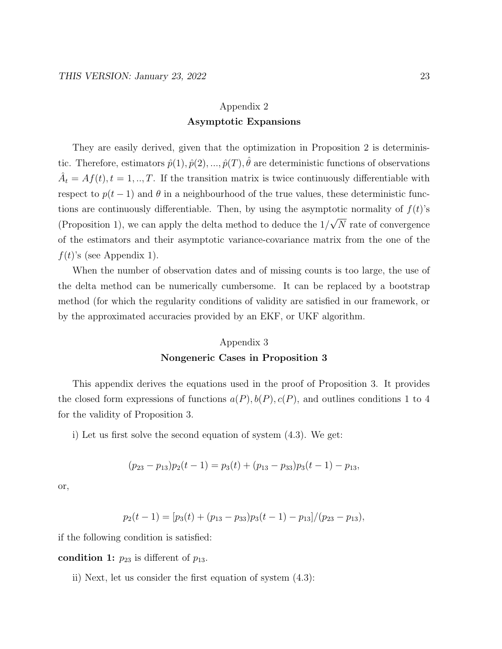### Appendix 2 Asymptotic Expansions

They are easily derived, given that the optimization in Proposition 2 is deterministic. Therefore, estimators  $\hat{p}(1), \hat{p}(2), ..., \hat{p}(T), \hat{\theta}$  are deterministic functions of observations  $\hat{A}_t = Af(t), t = 1, ..., T$ . If the transition matrix is twice continuously differentiable with respect to  $p(t-1)$  and  $\theta$  in a neighbourhood of the true values, these deterministic functions are continuously differentiable. Then, by using the asymptotic normality of  $f(t)$ 's (Proposition 1), we can apply the delta method to deduce the 1/ √ N rate of convergence of the estimators and their asymptotic variance-covariance matrix from the one of the  $f(t)$ 's (see Appendix 1).

When the number of observation dates and of missing counts is too large, the use of the delta method can be numerically cumbersome. It can be replaced by a bootstrap method (for which the regularity conditions of validity are satisfied in our framework, or by the approximated accuracies provided by an EKF, or UKF algorithm.

#### Appendix 3

#### Nongeneric Cases in Proposition 3

This appendix derives the equations used in the proof of Proposition 3. It provides the closed form expressions of functions  $a(P), b(P), c(P)$ , and outlines conditions 1 to 4 for the validity of Proposition 3.

i) Let us first solve the second equation of system (4.3). We get:

$$
(p_{23} - p_{13})p_2(t-1) = p_3(t) + (p_{13} - p_{33})p_3(t-1) - p_{13},
$$

or,

$$
p_2(t-1) = [p_3(t) + (p_{13} - p_{33})p_3(t-1) - p_{13}]/(p_{23} - p_{13}),
$$

if the following condition is satisfied:

condition 1:  $p_{23}$  is different of  $p_{13}$ .

ii) Next, let us consider the first equation of system (4.3):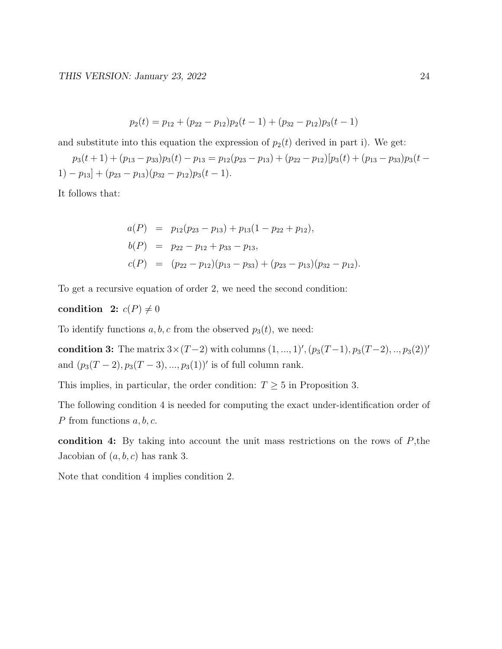$$
p_2(t) = p_{12} + (p_{22} - p_{12})p_2(t-1) + (p_{32} - p_{12})p_3(t-1)
$$

and substitute into this equation the expression of  $p_2(t)$  derived in part i). We get:

 $p_3(t + 1) + (p_{13} - p_{33})p_3(t) - p_{13} = p_{12}(p_{23} - p_{13}) + (p_{22} - p_{12})[p_3(t) + (p_{13} - p_{33})p_3(t -$ 1) –  $p_{13}$ ] +  $(p_{23} - p_{13})(p_{32} - p_{12})p_3(t - 1)$ .

It follows that:

$$
a(P) = p_{12}(p_{23} - p_{13}) + p_{13}(1 - p_{22} + p_{12}),
$$
  
\n
$$
b(P) = p_{22} - p_{12} + p_{33} - p_{13},
$$
  
\n
$$
c(P) = (p_{22} - p_{12})(p_{13} - p_{33}) + (p_{23} - p_{13})(p_{32} - p_{12}).
$$

To get a recursive equation of order 2, we need the second condition:

### condition 2:  $c(P) \neq 0$

To identify functions a, b, c from the observed  $p_3(t)$ , we need:

condition 3: The matrix  $3 \times (T-2)$  with columns  $(1, ..., 1)$ ',  $(p_3(T-1), p_3(T-2), ..., p_3(2))$ ' and  $(p_3(T-2), p_3(T-3), ..., p_3(1))'$  is of full column rank.

This implies, in particular, the order condition:  $T \geq 5$  in Proposition 3.

The following condition 4 is needed for computing the exact under-identification order of P from functions  $a, b, c$ .

condition 4: By taking into account the unit mass restrictions on the rows of  $P$ , the Jacobian of  $(a, b, c)$  has rank 3.

Note that condition 4 implies condition 2.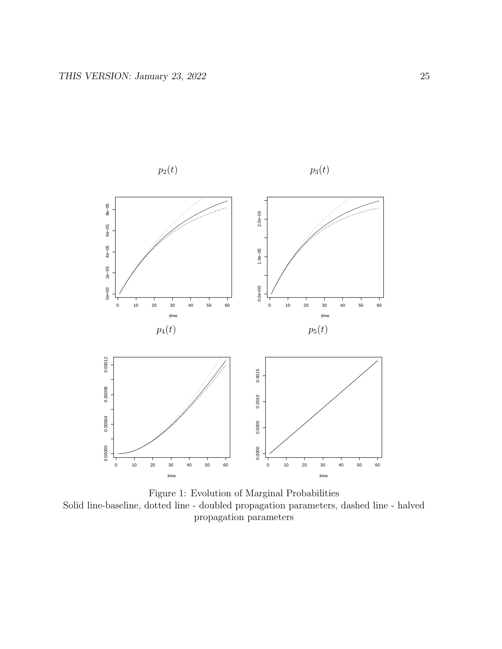

Figure 1: Evolution of Marginal Probabilities Solid line-baseline, dotted line - doubled propagation parameters, dashed line - halved propagation parameters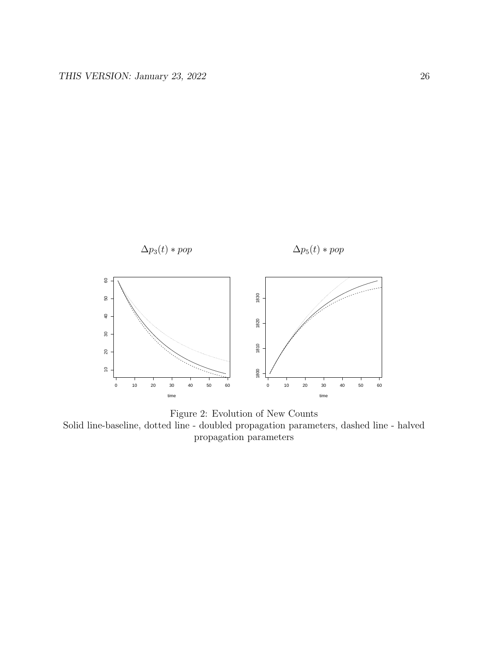



Solid line-baseline, dotted line - doubled propagation parameters, dashed line - halved propagation parameters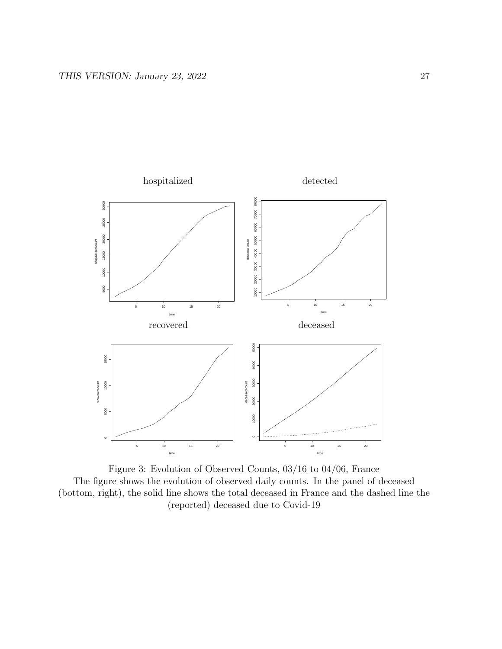

Figure 3: Evolution of Observed Counts, 03/16 to 04/06, France The figure shows the evolution of observed daily counts. In the panel of deceased (bottom, right), the solid line shows the total deceased in France and the dashed line the (reported) deceased due to Covid-19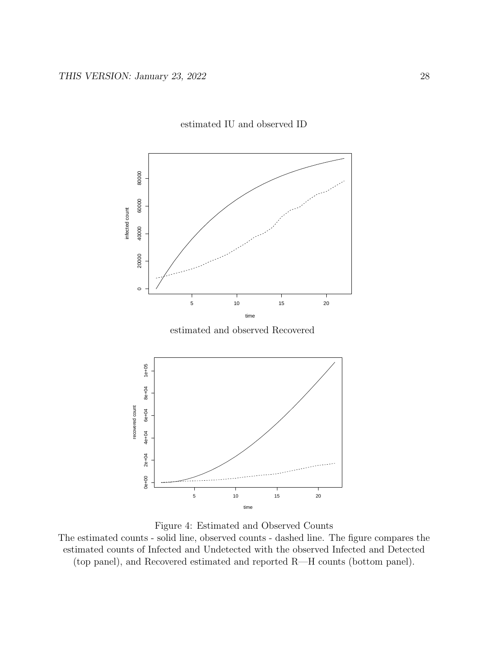

#### estimated IU and observed ID

estimated and observed Recovered



Figure 4: Estimated and Observed Counts

The estimated counts - solid line, observed counts - dashed line. The figure compares the estimated counts of Infected and Undetected with the observed Infected and Detected (top panel), and Recovered estimated and reported R—H counts (bottom panel).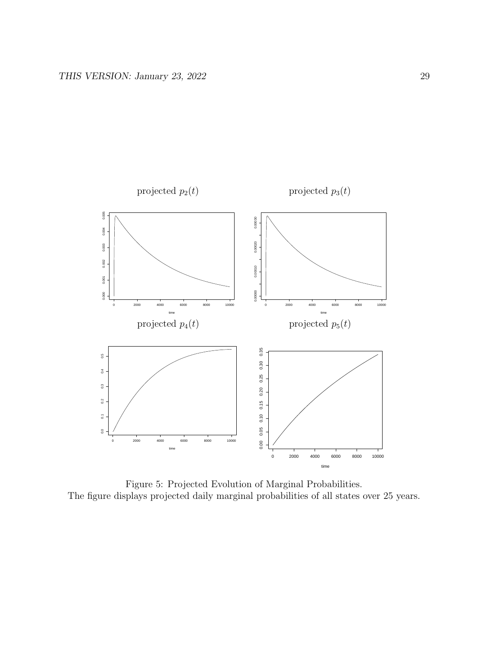

Figure 5: Projected Evolution of Marginal Probabilities. The figure displays projected daily marginal probabilities of all states over 25 years.